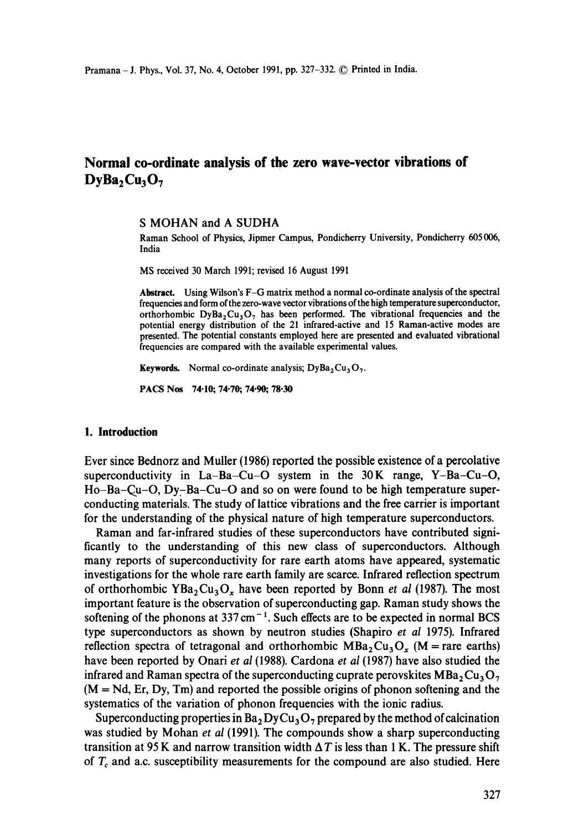# **Normal co-ordinate analysis of the zero wave-vector vibrations of**   $\mathbf{DyBa}_2\mathbf{Cu}_3\mathbf{O}_7$

**S** MOHAN and A SUDHA

Raman School of Physics, Jipmer Campus, Pondicherry University, Pondicherry 605 006, India

MS received 30 March 1991; revised 16 August 1991

**Abstract.** Using Wilson's F-G matrix method a normal co-ordinate analysis of the spectral frequencies and form of the zero-wave vector vibrations of the high temperature superconductor, orthorhombic  $DyBa_2Cu_3O_7$  has been performed. The vibrational frequencies and the potential energy distribution of the 21 infrared-active and 15 Raman-active modes are presented. The potential constants employed here are presented and evaluated vibrational frequencies are compared with the available experimental values.

Keywords. Normal co-ordinate analysis;  $DyBa<sub>2</sub>Cu<sub>3</sub>O<sub>7</sub>$ .

PACS Nos 74.10; 74.70; 74.90; 78.30

#### **1. Introduction**

Ever since Bednorz and Muller (1986) reported the possible existence of a percolative superconductivity in  $La-Ba-Cu-O$  system in the  $30K$  range, Y-Ba-Cu-O, Ho-Ba-Qu-O, Dyr-Ba-Cu-O and so on were found to be high temperature superconducting materials. The study of lattice vibrations and the free carrier is important for the understanding of the physical nature of high temperature superconductors.

Raman and far-infrared studies of these superconductors have contributed significantly to the understanding of this new class of superconductors. Although many reports of superconductivity for rare earth atoms have appeared, systematic investigations for the whole rare earth family are scarce. Infrared reflection spectrum of orthorhombic YBa<sub>2</sub>Cu<sub>3</sub>O<sub>x</sub> have been reported by Bonn *et al* (1987). The most important feature is the observation of superconducting gap. Raman study shows the softening of the phonons at  $337 \text{ cm}^{-1}$ . Such effects are to be expected in normal BCS type superconductors as shown by neutron studies (Shapiro *et al* 1975). Infrared reflection spectra of tetragonal and orthorhombic  $MBa_2Cu_3O_x$  (M = rare earths) have been reported by Onari *et al* (1988). Cardona *et al* (1987) have also studied the infrared and Raman spectra of the superconducting cuprate perovskites  $MBa_2Cu_3O_7$  $(M = Nd, Er, Dy, Tm)$  and reported the possible origins of phonon softening and the systematics of the variation of phonon frequencies with the ionic radius.

Superconducting properties in  $Ba<sub>2</sub> DyCu<sub>3</sub>O<sub>7</sub>$  prepared by the method of calcination was studied by Mohan *et al* (1991). The compounds show a sharp superconducting transition at 95 K and narrow transition width  $\Delta T$  is less than 1 K. The pressure shift of  $T_c$  and a.c. susceptibility measurements for the compound are also studied. Here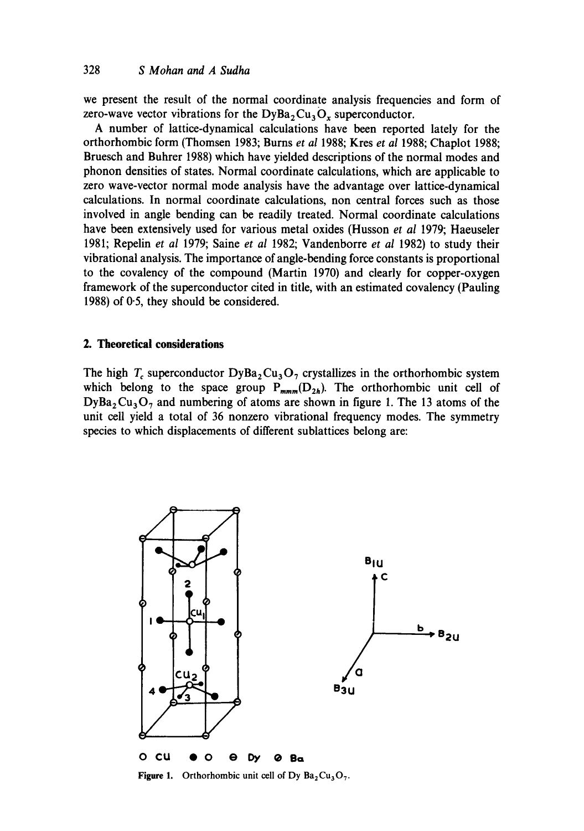we present the result of the normal coordinate analysis frequencies and form of zero-wave vector vibrations for the  $\text{DyBa}_2\text{Cu}_3\text{O}_x$  superconductor.

A number of lattice-dynamical calculations have been reported lately for the orthorhombic form (Thomsen 1983; Burns *et al* 1988; Kres *et al* 1988; Chaplot 1988; Bruesch and Buhrer 1988) which have yielded descriptions of the normal modes and phonon densities of states. Normal coordinate calculations, which are applicable to zero wave-vector normal mode analysis have the advantage over lattice-dynamical calculations. In normal coordinate calculations, non central forces such as those involved in angle bending can be readily treated. Normal coordinate calculations have been extensively used for various metal oxides (Husson *et al* 1979; Haeuseler 1981; Repelin *et al* 1979; Saine *et al* 1982; Vandenborre *et al* 1982) to study their vibrational analysis. The importance of angle-bending force constants is proportional to the covalency of the compound (Martin 1970) and clearly for copper-oxygen framework of the superconductor cited in title, with an estimated covalency (Pauling 1988) of 0-5, they should be considered.

# **2. Theoretical considerations**

The high  $T_c$  superconductor DyBa<sub>2</sub>Cu<sub>3</sub>O<sub>2</sub> crystallizes in the orthorhombic system which belong to the space group  $P_{mmm}(\overline{D}_{2h})$ . The orthorhombic unit cell of  $\text{DyBa}_2\text{Cu}_3\text{O}_7$  and numbering of atoms are shown in figure 1. The 13 atoms of the unit cell yield a total of 36 nonzero vibrational frequency modes. The symmetry species to which displacements of different sublattices belong are:



**Figure 1.** Orthorhombic unit cell of Dy  $Ba_2Cu_3O_7$ .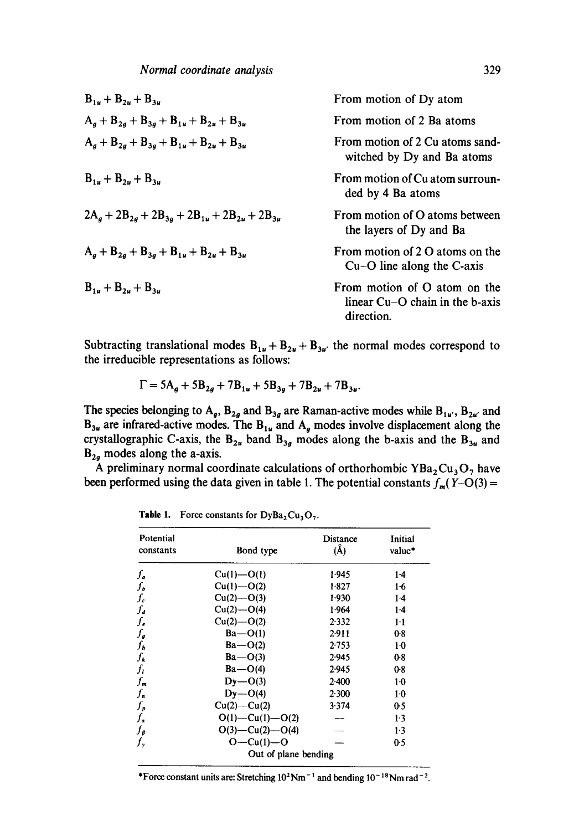| From motion of Dy atom                                                          |
|---------------------------------------------------------------------------------|
| From motion of 2 Ba atoms                                                       |
| From motion of 2 Cu atoms sand-<br>witched by Dy and Ba atoms                   |
| From motion of Cu atom surroun-<br>ded by 4 Ba atoms                            |
| From motion of O atoms between<br>the layers of Dy and Ba                       |
| From motion of 2 O atoms on the<br>Cu-O line along the C-axis                   |
| From motion of O atom on the<br>linear $Cu-O$ chain in the b-axis<br>direction. |
|                                                                                 |

Subtracting translational modes  $B_{1u} + B_{2u} + B_{3u}$ , the normal modes correspond to the irreducible representations as follows:

$$
\Gamma = 5A_g + 5B_{2g} + 7B_{1u} + 5B_{3g} + 7B_{2u} + 7B_{3u}.
$$

The species belonging to  $A_g$ ,  $B_{2g}$  and  $B_{3g}$  are Raman-active modes while  $B_{1u'}$ ,  $B_{2u'}$  and  $B_{3u}$  are infrared-active modes. The  $B_{1u}$  and  $A_g$  modes involve displacement along the crystallographic C-axis, the B<sub>2u</sub> band B<sub>3g</sub> modes along the b-axis and the B<sub>3u</sub> and  $B_{2a}$  modes along the a-axis.

A preliminary normal coordinate calculations of orthorhombic  $YBa<sub>2</sub>Cu<sub>3</sub>O<sub>7</sub>$  have been performed using the data given in table 1. The potential constants  $f_m(Y-O(3)) =$ 

| Potential<br>constants          | Bond type             | Distance<br>$(\AA)$ | Initial<br>value* |
|---------------------------------|-----------------------|---------------------|-------------------|
| ſ,                              | $Cu(1) - O(1)$        | 1.945               | $1-4$             |
| $f_b$                           | $Cu(1) - O(2)$        | 1.827               | 1.6               |
| ſ.                              | $Cu(2) - O(3)$        | 1.930               | 1.4               |
| $f_{\boldsymbol{d}}$            | $Cu(2) - O(4)$        | 1.964               | $1-4$             |
| ſ,                              | $Cu(2) - O(2)$        | 2.332               | $1-1$             |
| $f_{g}$                         | $Ba$ —O(1)            | 2.911               | 0.8               |
| ſ'n                             | $Ba - O(2)$           | 2.753               | 1·0               |
| $f_{\boldsymbol{k}}$            | $Ba$ —O(3)            | 2.945               | 0.8               |
| ſı                              | $Ba$ —O(4)            | 2.945               | 0.8               |
| $f_{\scriptscriptstyle{\sf m}}$ | $Dy - O(3)$           | $2-400$             | $1-0$             |
| $f_n$                           | $Dy - O(4)$           | 2.300               | $1-0$             |
| $f_{p}$                         | $Cu(2)$ — $Cu(2)$     | 3.374               | 0.5               |
| $f_{\pmb{\sigma}}$              | $O(1) - Cu(1) - O(2)$ |                     | 1.3               |
| $f_{\boldsymbol{\beta}}$        | $O(3) - Cu(2) - O(4)$ |                     | $1-3$             |
| ſ,                              | $O - Cu(1) - O$       |                     | 0.5               |
|                                 | Out of plane bending  |                     |                   |

Table 1. Force constants for  $DyBa<sub>2</sub>Cu<sub>3</sub>O<sub>7</sub>$ .

\*Force constant units are: Stretching  $10^2$ Nm<sup>-1</sup> and bending  $10^{-18}$ Nm rad<sup>-2</sup>.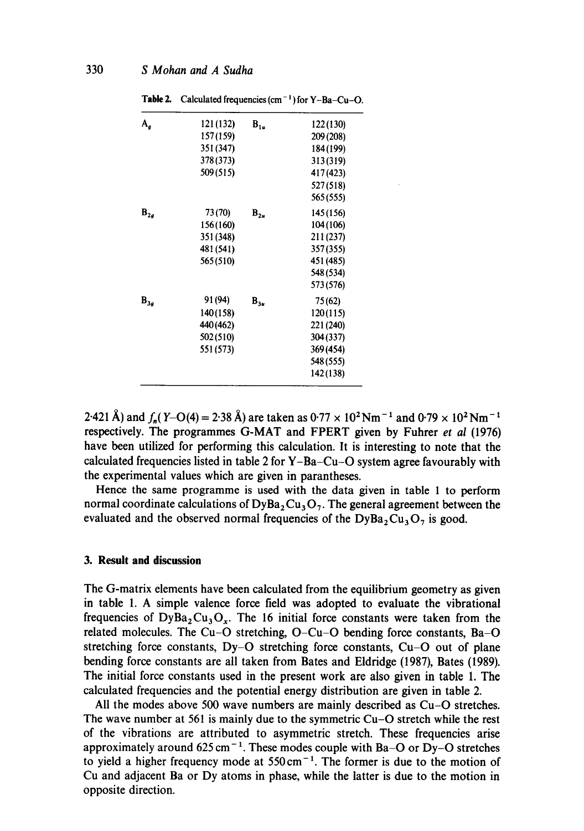| Table 2.                     | Calculated frequencies $(cm-1)$ for $Y-Ba-Cu-O$ . |          |           |
|------------------------------|---------------------------------------------------|----------|-----------|
| $A_g$                        | 121 (132)                                         | $B_{1u}$ | 122(130)  |
|                              | 157 (159)                                         |          | 209 (208) |
|                              | 351 (347)                                         |          | 184 (199) |
|                              | 378 (373)                                         |          | 313(319)  |
|                              | 509 (515)                                         |          | 417 (423) |
|                              |                                                   |          | 527(518)  |
|                              |                                                   |          | 565(555)  |
| $\mathbf{B}_{2g}$<br>73 (70) |                                                   | $B_{2u}$ | 145 (156) |
|                              | 156 (160)                                         |          | 104 (106) |
|                              | 351 (348)                                         |          | 211 (237) |
|                              | 481 (541)                                         |          | 357 (355) |
|                              | 565 (510)                                         |          | 451 (485) |
|                              |                                                   |          | 548 (534) |
|                              |                                                   |          | 573 (576) |
| $\mathbf{B}_{3g}$            | 91 (94)                                           | $B_{3u}$ | 75 (62)   |
|                              | 140(158)                                          |          | 120(115)  |
|                              | 440 (462)                                         |          | 221 (240) |
|                              | 502 (510)                                         |          | 304 (337) |
|                              | 551 (573)                                         |          | 369 (454) |
|                              |                                                   |          | 548 (555) |
|                              |                                                   |          | 142(138)  |

2.421 Å) and  $f_n(Y-O(4) = 2.38$  Å) are taken as  $0.77 \times 10^2$  Nm<sup>-1</sup> and  $0.79 \times 10^2$  Nm<sup>-1</sup> respectively. The programmes G-MAT and FPERT given by Fuhrer *et al* (1976) have been utilized for performing this calculation. It is interesting to note that the calculated frequencies listed in table 2 for  $Y-Ba-Cu-O$  system agree favourably with the experimental values which are given in parantheses.

Hence the same programme is used with the data given in table 1 to perform normal coordinate calculations of  $\text{DyBa}_2\text{Cu}_3\text{O}_7$ . The general agreement between the evaluated and the observed normal frequencies of the  $\text{DyBa}_2\text{Cu}_3\text{O}_7$  is good.

## **3. Result and discussion**

The G-matrix elements have been calculated from the equilibrium geometry as given in table 1. A simple valence force field was adopted to evaluate the vibrational frequencies of  $DyBa_2Cu_3O_x$ . The 16 initial force constants were taken from the related molecules. The Cu-O stretching, O-Cu-O bending force constants, Ba-O stretching force constants, Dy-O stretching force constants, Cu-O out of plane bending force constants are all taken from Bates and Eldridge (1987), Bates (1989). The initial force constants used in the present work are also given in table 1. The calculated frequencies and the potential energy distribution are given in table 2.

All the modes above 500 wave numbers are mainly described as Cu-O stretches. The wave number at 561 is mainly due to the symmetric Cu-O stretch while the rest of the vibrations are attributed to asymmetric stretch. These frequencies arise approximately around  $625 \text{ cm}^{-1}$ . These modes couple with Ba-O or Dy-O stretches to yield a higher frequency mode at  $550 \text{ cm}^{-1}$ . The former is due to the motion of Cu and adjacent Ba or Dy atoms in phase, while the latter is due to the motion in opposite direction.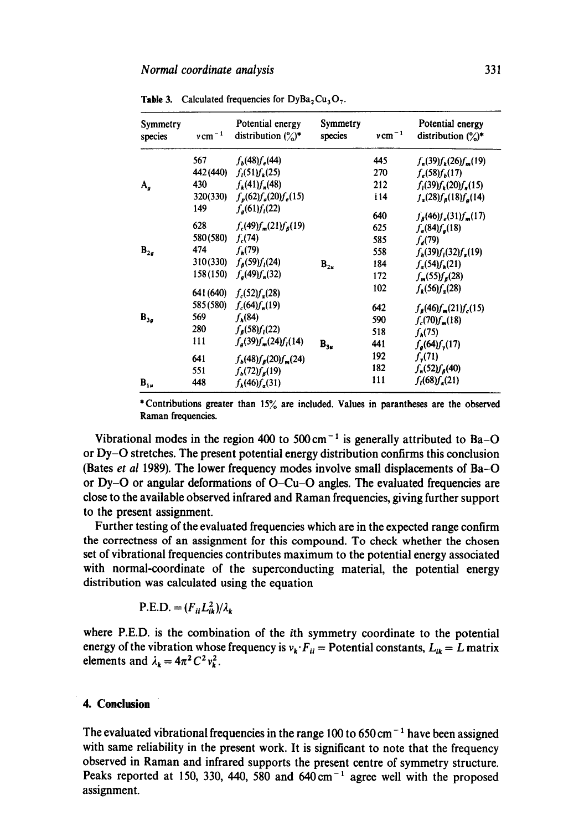| Symmetry<br>species | $v \, \mathrm{cm}^{-1}$ | Potential energy<br>distribution $\binom{6}{0}$ * | Symmetry<br>species | $v \, \mathrm{cm}^{-1}$ | Potential energy<br>distribution $(\%)^*$ |
|---------------------|-------------------------|---------------------------------------------------|---------------------|-------------------------|-------------------------------------------|
|                     | 567                     | $f_h(48) f_e(44)$                                 |                     | 445                     | $f_n(39)f_k(26)f_m(19)$                   |
|                     | 442 (440)               | $f_i(51)f_k(25)$                                  |                     | 270                     | $f_e(58) f_h(17)$                         |
| $A_{\sigma}$        | 430                     | $f_k(41)f_n(48)$                                  |                     | 212                     | $f_i(39)f_k(20)f_n(15)$                   |
|                     | 320(330)                | $f_p(62)f_a(20)f_e(15)$                           |                     | i 14                    | $f_a(28) f_a(18) f_a(14)$                 |
|                     | 149                     | $f_a(61)f_i(22)$                                  |                     | 640                     | $f_{\beta}(46)f_{e}(31)f_{m}(17)$         |
|                     | 628                     | $f_c(49) f_m(21) f_\beta(19)$                     |                     | 625                     | $f_a(84) f_a(18)$                         |
|                     | 580 (580)               | $f_c(74)$                                         |                     | 585                     | $f_a(79)$                                 |
| $B_{2g}$            | 474                     | $f_k(79)$                                         |                     | 558                     | $f_h(39)f_l(32)f_g(19)$                   |
|                     | 310(330)                | $f_{\beta}(59)f_{l}(24)$                          | $B_{2u}$            | 184                     | $f_a(54) f_b(21)$                         |
|                     | 158 (150)               | $f_a(49)f_n(32)$                                  |                     | 172                     | $f_m(55) f_g(28)$                         |
|                     | 641 (640)               | $f_c(52) f_c(28)$                                 |                     | 102                     | $f_{r}(56)f_{r}(28)$                      |
|                     | 585 (580)               | $f_c(64) f_n(19)$                                 |                     | 642                     | $f_{\beta}(46)f_{m}(21)f_{c}(15)$         |
| $B_{3g}$            | 569                     | $f_{\mu}(84)$                                     |                     | 590                     | $f_c(70) f_n(18)$                         |
|                     | 280                     | $f_{\rm g}(58) f_{\rm I}(22)$                     |                     | 518                     | $f_{\rm h}(75)$                           |
|                     | 111                     | $f_g(39)f_m(24)f_l(14)$                           | $B_{3u}$            | 441                     | $f_{\rm g}$ (64) $f_{\rm g}$ (17)         |
|                     | 641                     | $f_b(48) f_g(20) f_m(24)$                         |                     | 192                     | $f_{y}(71)$                               |
|                     | 551                     | $f_{b}(72)f_{b}(19)$                              |                     | 182                     | $f_n(52)f_8(40)$                          |
| $B_{1u}$            | 448                     | $f_k(46) f_{\alpha}(31)$                          |                     | 111                     | $f_i(68) f_a(21)$                         |

**Table 3.** Calculated frequencies for  $DyBa_2Cu_3O_7$ .

\*Contributions greater than 15% are included. Values in parantheses are the observed Raman frequencies.

Vibrational modes in the region 400 to 500 cm<sup>-1</sup> is generally attributed to Ba-O or Dy-O stretches. The present potential energy distribution confirms this conclusion (Bates *et al* 1989). The lower frequency modes involve small displacements of Ba-O or Dy-O or angular deformations of O-Cu-O angles. The evaluated frequencies are close to the available observed infrared and Raman frequencies, giving further support to the present assignment.

Further testing of the evaluated frequencies which are in the expected range confirm the correctness of an assignment for this compound. To check whether the chosen set of vibrational frequencies contributes maximum to the potential energy associated with normal-coordinate of the superconducting material, the potential energy distribution was calculated using the equation

$$
P.E.D. = (F_{ii}L_{ik}^2)/\lambda_k
$$

where P.E.D. is the combination of the ith symmetry coordinate to the potential energy of the vibration whose frequency is  $v_k \cdot F_{ii}$  = Potential constants,  $L_{ik} = L$  matrix elements and  $\lambda_k = 4\pi^2 C^2 v_k^2$ .

### **4. Conclusion**

The evaluated vibrational frequencies in the range 100 to 650 cm<sup> $-1$ </sup> have been assigned with same reliability in the present work. It is significant to note that the frequency observed in Raman and infrared supports the present centre of symmetry structure. Peaks reported at 150, 330, 440, 580 and  $640 \text{ cm}^{-1}$  agree well with the proposed assignment.